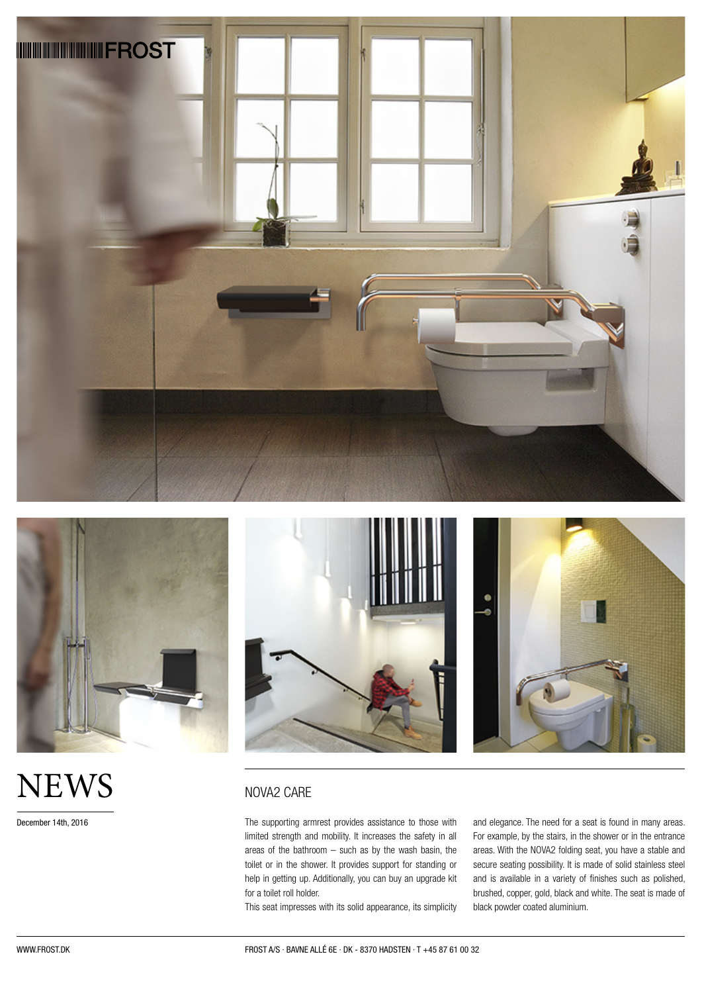



**NEWS** 

December 14th, 2016



#### NOVA2 CARE

The supporting armrest provides assistance to those with limited strength and mobility. It increases the safety in all areas of the bathroom  $-$  such as by the wash basin, the toilet or in the shower. It provides support for standing or help in getting up. Additionally, you can buy an upgrade kit for a toilet roll holder.

This seat impresses with its solid appearance, its simplicity

and elegance. The need for a seat is found in many areas. For example, by the stairs, in the shower or in the entrance areas. With the NOVA2 folding seat, you have a stable and secure seating possibility. It is made of solid stainless steel and is available in a variety of finishes such as polished, brushed, copper, gold, black and white. The seat is made of black powder coated aluminium.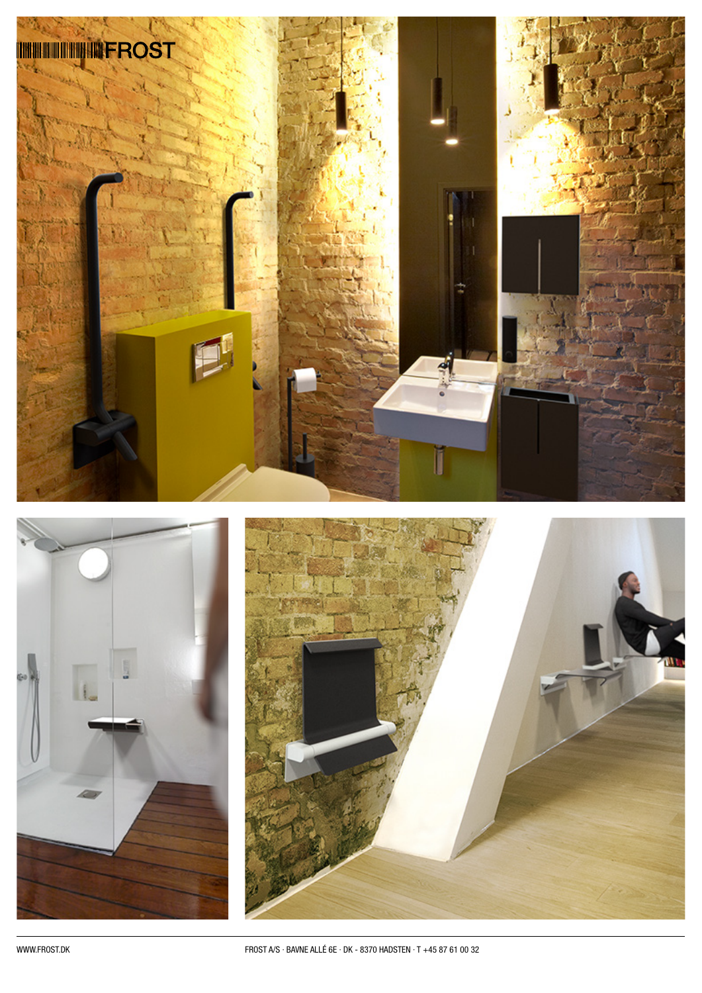





WWW.FROST.DK FROST A/S · BAVNE ALLÉ 6E · DK - 8370 HADSTEN · T +45 87 61 00 32